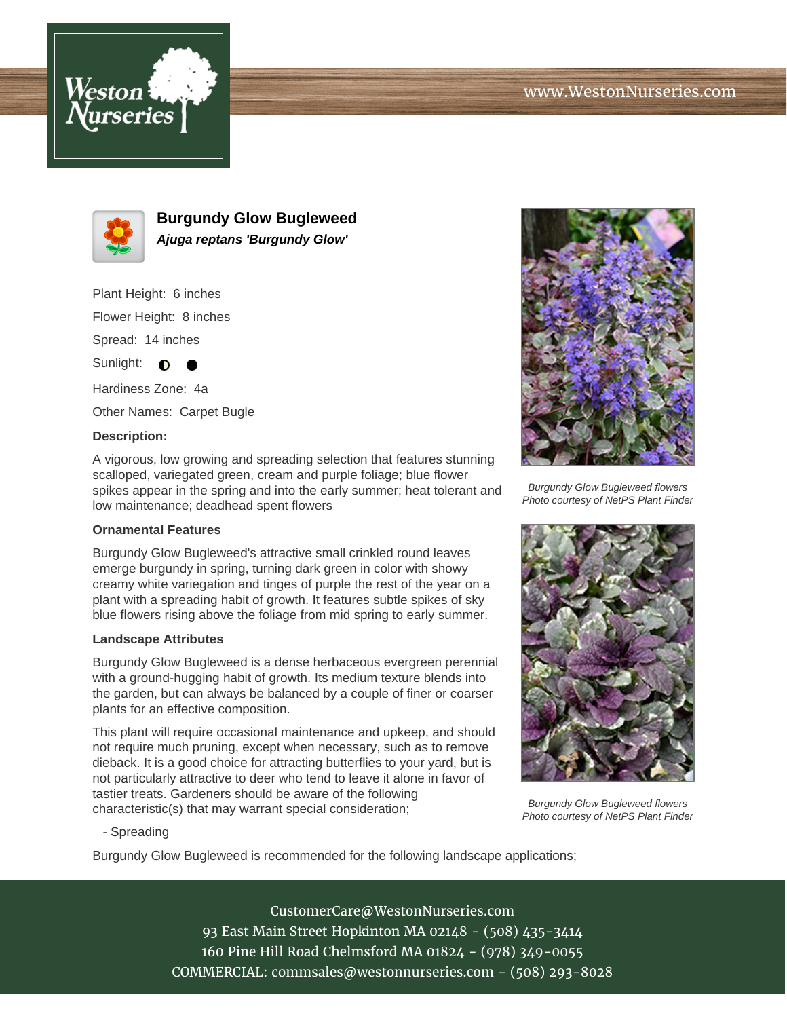



**Burgundy Glow Bugleweed Ajuga reptans 'Burgundy Glow'**

Plant Height: 6 inches Flower Height: 8 inches Spread: 14 inches Sunlight:  $\bullet$ 

Hardiness Zone: 4a Other Names: Carpet Bugle

## **Description:**

A vigorous, low growing and spreading selection that features stunning scalloped, variegated green, cream and purple foliage; blue flower spikes appear in the spring and into the early summer; heat tolerant and low maintenance; deadhead spent flowers

## **Ornamental Features**

Burgundy Glow Bugleweed's attractive small crinkled round leaves emerge burgundy in spring, turning dark green in color with showy creamy white variegation and tinges of purple the rest of the year on a plant with a spreading habit of growth. It features subtle spikes of sky blue flowers rising above the foliage from mid spring to early summer.

#### **Landscape Attributes**

Burgundy Glow Bugleweed is a dense herbaceous evergreen perennial with a ground-hugging habit of growth. Its medium texture blends into the garden, but can always be balanced by a couple of finer or coarser plants for an effective composition.

This plant will require occasional maintenance and upkeep, and should not require much pruning, except when necessary, such as to remove dieback. It is a good choice for attracting butterflies to your yard, but is not particularly attractive to deer who tend to leave it alone in favor of tastier treats. Gardeners should be aware of the following characteristic(s) that may warrant special consideration;



Burgundy Glow Bugleweed flowers Photo courtesy of NetPS Plant Finder



Burgundy Glow Bugleweed flowers Photo courtesy of NetPS Plant Finder

- Spreading

Burgundy Glow Bugleweed is recommended for the following landscape applications;

# CustomerCare@WestonNurseries.com 93 East Main Street Hopkinton MA 02148 - (508) 435-3414 160 Pine Hill Road Chelmsford MA 01824 - (978) 349-0055 COMMERCIAL: commsales@westonnurseries.com - (508) 293-8028